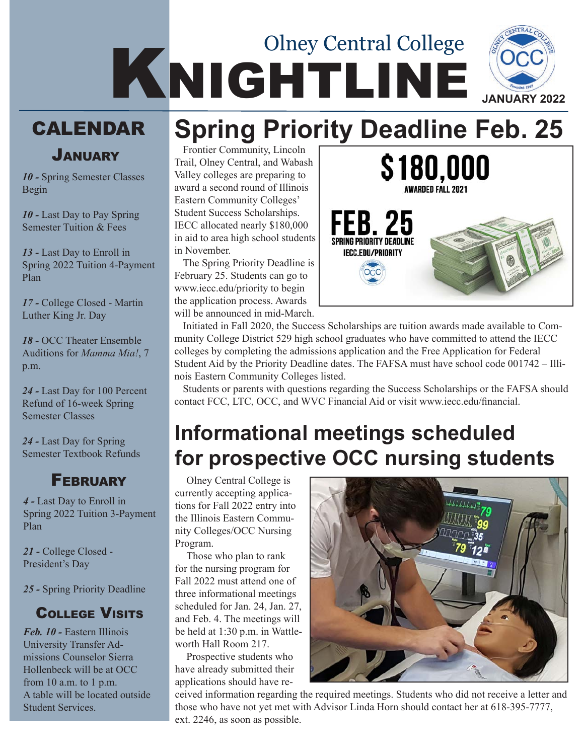# KNIGHTLINE Olney Central College **JANUARY 2022 Spring Priority Deadline Feb. 25**

## **CALENDAR**

January

*10 -* Spring Semester Classes Begin

*10 -* Last Day to Pay Spring Semester Tuition & Fees

*13 -* Last Day to Enroll in Spring 2022 Tuition 4-Payment Plan

*17 -* College Closed - Martin Luther King Jr. Day

*18 -* OCC Theater Ensemble Auditions for *Mamma Mia!*, 7 p.m.

*24 -* Last Day for 100 Percent Refund of 16-week Spring Semester Classes

*24 -* Last Day for Spring Semester Textbook Refunds

#### **FEBRUARY**

*4 -* Last Day to Enroll in Spring 2022 Tuition 3-Payment Plan

*21 -* College Closed - President's Day

*25 -* Spring Priority Deadline

#### College Visits

*Feb. 10 -* Eastern Illinois University Transfer Admissions Counselor Sierra Hollenbeck will be at OCC from 10 a.m. to 1 p.m. A table will be located outside Student Services.

Frontier Community, Lincoln Trail, Olney Central, and Wabash Valley colleges are preparing to award a second round of Illinois Eastern Community Colleges' Student Success Scholarships. IECC allocated nearly \$180,000 in aid to area high school students in November.

The Spring Priority Deadline is February 25. Students can go to www.iecc.edu/priority to begin the application process. Awards will be announced in mid-March.



Initiated in Fall 2020, the Success Scholarships are tuition awards made available to Community College District 529 high school graduates who have committed to attend the IECC colleges by completing the admissions application and the Free Application for Federal Student Aid by the Priority Deadline dates. The FAFSA must have school code 001742 – Illinois Eastern Community Colleges listed.

Students or parents with questions regarding the Success Scholarships or the FAFSA should contact FCC, LTC, OCC, and WVC Financial Aid or visit www.iecc.edu/financial.

## **Informational meetings scheduled for prospective OCC nursing students**

Olney Central College is currently accepting applications for Fall 2022 entry into the Illinois Eastern Community Colleges/OCC Nursing Program.

Those who plan to rank for the nursing program for Fall 2022 must attend one of three informational meetings scheduled for Jan. 24, Jan. 27, and Feb. 4. The meetings will be held at 1:30 p.m. in Wattleworth Hall Room 217.

Prospective students who have already submitted their applications should have re-



ceived information regarding the required meetings. Students who did not receive a letter and those who have not yet met with Advisor Linda Horn should contact her at 618-395-7777, ext. 2246, as soon as possible.